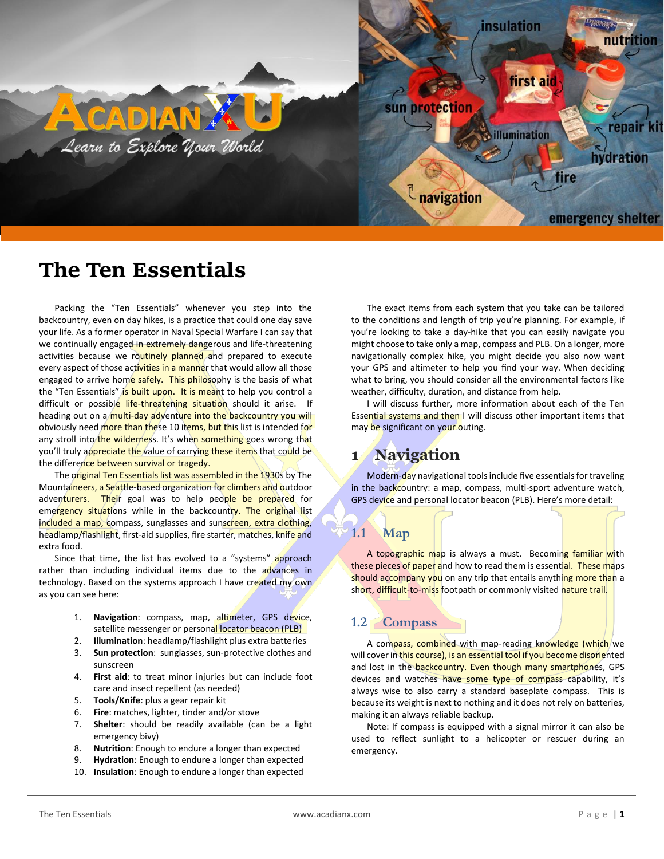

# **The Ten Essentials**

Packing the "Ten Essentials" whenever you step into the backcountry, even on day hikes, is a practice that could one day save your life. As a former operator in Naval Special Warfare I can say that we continually engaged in extremely dangerous and life-threatening activities because we routinely planned and prepared to execute every aspect of those activities in a manner that would allow all those engaged to arrive home safely. This philosophy is the basis of what the "Ten Essentials" is built upon. It is meant to help you control a difficult or possible life-threatening situation should it arise. If heading out on a multi-day adventure into the backcountry you will obviously need more than these 10 items, but this list is intended for any stroll into the wilderness. It's when something goes wrong that you'll truly appreciate the value of carrying these items that could be the difference between survival or tragedy.

The original Ten Essentials list was assembled in the 1930s by The Mountaineers, a Seattle-based organization for climbers and outdoor adventurers. Their goal was to help people be prepared for emergency situations while in the backcountry. The original list included a map, compass, sunglasses and sunscreen, extra clothing, headlamp/flashlight, first-aid supplies, fire starter, matches, knife and extra food.

Since that time, the list has evolved to a "systems" approach rather than including individual items due to the advances in technology. Based on the systems approach I have created my own as you can see here:

- 1. **Navigation**: compass, map, altimeter, GPS device, satellite messenger or personal locator beacon (PLB)
- 2. **Illumination**: headlamp/flashlight plus extra batteries
- 3. **Sun protection**: sunglasses, sun-protective clothes and sunscreen
- 4. **First aid**: to treat minor injuries but can include foot care and insect repellent (as needed)
- 5. **Tools/Knife**: plus a gear repair kit
- 6. **Fire**: matches, lighter, tinder and/or stove
- 7. **Shelter**: should be readily available (can be a light emergency bivy)
- 8. **Nutrition**: Enough to endure a longer than expected
- 9. **Hydration**: Enough to endure a longer than expected
- 10. **Insulation**: Enough to endure a longer than expected

The exact items from each system that you take can be tailored to the conditions and length of trip you're planning. For example, if you're looking to take a day-hike that you can easily navigate you might choose to take only a map, compass and PLB. On a longer, more navigationally complex hike, you might decide you also now want your GPS and altimeter to help you find your way. When deciding what to bring, you should consider all the environmental factors like weather, difficulty, duration, and distance from help.

I will discuss further, more information about each of the Ten Essential systems and then I will discuss other important items that may be significant on your outing.

## **1 Navigation**

Modern-day navigational tools include five essentials for traveling in the backcountry: a map, compass, multi-sport adventure watch, GPS device and personal locator beacon (PLB). Here's more detail:

### **1.1 Map**

A topographic map is always a must. Becoming familiar with these pieces of paper and how to read them is essential. These maps should accompany you on any trip that entails anything more than a short, difficult-to-miss footpath or commonly visited nature trail.

### **1.2 Compass**

A compass, combined with map-reading knowledge (which we will cover in this course), is an essential tool if you become disoriented and lost in the backcountry. Even though many smartphones, GPS devices and watches have some type of compass capability, it's always wise to also carry a standard baseplate compass. This is because its weight is next to nothing and it does not rely on batteries, making it an always reliable backup.

Note: If compass is equipped with a signal mirror it can also be used to reflect sunlight to a helicopter or rescuer during an emergency.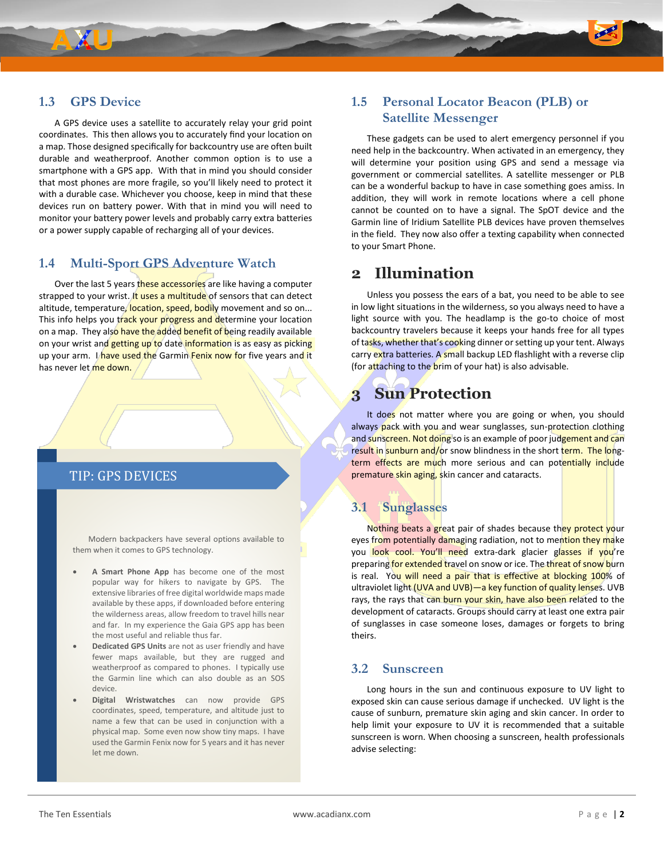### **1.3 GPS Device**

A GPS device uses a satellite to accurately relay your grid point coordinates. This then allows you to accurately find your location on a map. Those designed specifically for backcountry use are often built durable and weatherproof. Another common option is to use a smartphone with a GPS app. With that in mind you should consider that most phones are more fragile, so you'll likely need to protect it with a durable case. Whichever you choose, keep in mind that these devices run on battery power. With that in mind you will need to monitor your battery power levels and probably carry extra batteries or a power supply capable of recharging all of your devices.

#### **1.4 Multi-Sport GPS Adventure Watch**

Over the last 5 years these accessories are like having a computer strapped to your wrist. It uses a multitude of sensors that can detect altitude, temperature, location, speed, bodily movement and so on... This info helps you track your progress and determine your location on a map. They also have the added benefit of being readily available on your wrist and getting up to date information is as easy as picking up your arm. I have used the Garmin Fenix now for five years and it has never let me down.

#### TIP: GPS DEVICES

Modern backpackers have several options available to them when it comes to GPS technology.

- **A Smart Phone App** has become one of the most popular way for hikers to navigate by GPS. The extensive libraries of free digital worldwide maps made available by these apps, if downloaded before entering the wilderness areas, allow freedom to travel hills near and far. In my experience the Gaia GPS app has been the most useful and reliable thus far.
- **Dedicated GPS Units** are not as user friendly and have fewer maps available, but they are rugged and weatherproof as compared to phones. I typically use the Garmin line which can also double as an SOS device.
- **Digital Wristwatches** can now provide GPS coordinates, speed, temperature, and altitude just to name a few that can be used in conjunction with a physical map. Some even now show tiny maps. I have used the Garmin Fenix now for 5 years and it has never let me down.

### **1.5 Personal Locator Beacon (PLB) or Satellite Messenger**

These gadgets can be used to alert emergency personnel if you need help in the backcountry. When activated in an emergency, they will determine your position using GPS and send a message via government or commercial satellites. A satellite messenger or PLB can be a wonderful backup to have in case something goes amiss. In addition, they will work in remote locations where a cell phone cannot be counted on to have a signal. The SpOT device and the Garmin line of Iridium Satellite PLB devices have proven themselves in the field. They now also offer a texting capability when connected to your Smart Phone.

## **2 Illumination**

Unless you possess the ears of a bat, you need to be able to see in low light situations in the wilderness, so you always need to have a light source with you. The headlamp is the go-to choice of most backcountry travelers because it keeps your hands free for all types of tasks, whether that's cooking dinner or setting up your tent. Always carry extra batteries. A small backup LED flashlight with a reverse clip (for attaching to the brim of your hat) is also advisable.

## **3 Sun Protection**

It does not matter where you are going or when, you should always pack with you and wear sunglasses, sun-protection clothing and sunscreen. Not doing so is an example of poor judgement and can result in sunburn and/or snow blindness in the short term. The longterm effects are much more serious and can potentially include premature skin aging, skin cancer and cataracts.

### **3.1 Sunglasses**

Nothing beats a great pair of shades because they protect your eyes from potentially damaging radiation, not to mention they make you look cool. You'll need extra-dark glacier glasses if you're preparing for extended travel on snow or ice. The threat of snow burn is real. You will need a pair that is effective at blocking 100% of ultraviolet light (UVA and UVB)—a key function of quality lenses. UVB rays, the rays that can burn your skin, have also been related to the development of cataracts. Groups should carry at least one extra pair of sunglasses in case someone loses, damages or forgets to bring theirs.

#### **3.2 Sunscreen**

Long hours in the sun and continuous exposure to UV light to exposed skin can cause serious damage if unchecked. UV light is the cause of sunburn, premature skin aging and skin cancer. In order to help limit your exposure to UV it is recommended that a suitable sunscreen is worn. When choosing a sunscreen, health professionals advise selecting: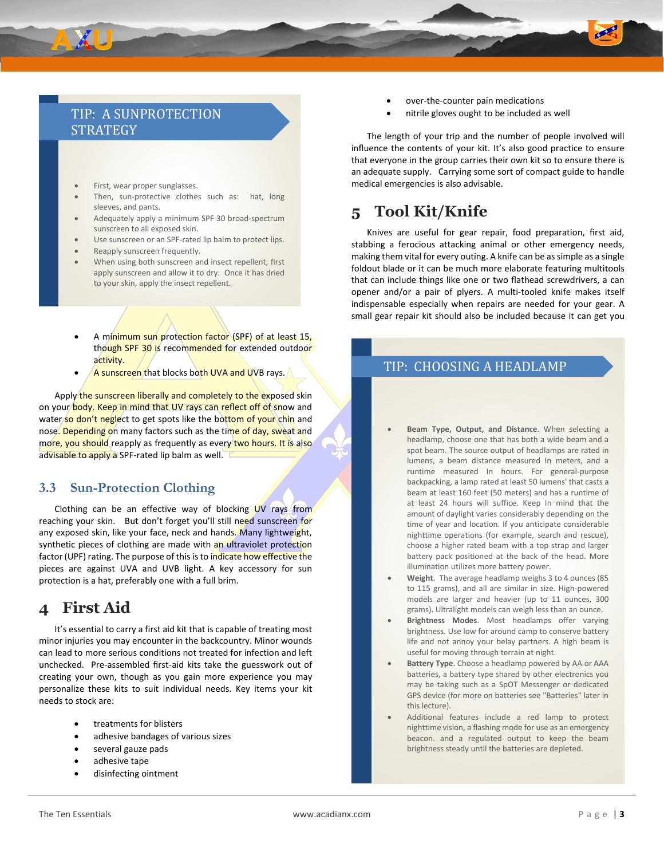### TIP: A SUNPROTECTION **STRATEGY**

- First, wear proper sunglasses.
- Then, sun-protective clothes such as: hat, long sleeves, and pants.
- Adequately apply a minimum SPF 30 broad-spectrum sunscreen to all exposed skin.
- Use sunscreen or an SPF-rated lip balm to protect lips.
- Reapply sunscreen frequently.
- When using both sunscreen and insect repellent, first apply sunscreen and allow it to dry. Once it has dried to your skin, apply the insect repellent.
- A minimum sun protection factor (SPF) of at least 15, though SPF 30 is recommended for extended outdoor activity.
- A sunscreen that blocks both UVA and UVB rays.

Apply the sunscreen liberally and completely to the exposed skin on your body. Keep in mind that UV rays can reflect off of snow and water so don't neglect to get spots like the bottom of your chin and nose. Depending on many factors such as the time of day, sweat and more, you should reapply as frequently as every two hours. It is also advisable to apply a SPF-rated lip balm as well.

### **3.3 Sun-Protection Clothing**

Clothing can be an effective way of blocking UV rays from reaching your skin. But don't forget you'll still need sunscreen for any exposed skin, like your face, neck and hands. Many lightweight, synthetic pieces of clothing are made with an ultraviolet protection factor (UPF) rating. The purpose of this is to indicate how effective the pieces are against UVA and UVB light. A key accessory for sun protection is a hat, preferably one with a full brim.

## **4 First Aid**

It's essential to carry a first aid kit that is capable of treating most minor injuries you may encounter in the backcountry. Minor wounds can lead to more serious conditions not treated for infection and left unchecked. Pre-assembled first-aid kits take the guesswork out of creating your own, though as you gain more experience you may personalize these kits to suit individual needs. Key items your kit needs to stock are:

- treatments for blisters
- adhesive bandages of various sizes
- several gauze pads
- adhesive tape
- disinfecting ointment
- over-the-counter pain medications
- nitrile gloves ought to be included as well

The length of your trip and the number of people involved will influence the contents of your kit. It's also good practice to ensure that everyone in the group carries their own kit so to ensure there is an adequate supply. Carrying some sort of compact guide to handle medical emergencies is also advisable.

## **5 Tool Kit/Knife**

Knives are useful for gear repair, food preparation, first aid, stabbing a ferocious attacking animal or other emergency needs, making them vital for every outing. A knife can be as simple as a single foldout blade or it can be much more elaborate featuring multitools that can include things like one or two flathead screwdrivers, a can opener and/or a pair of plyers. A multi-tooled knife makes itself indispensable especially when repairs are needed for your gear. A small gear repair kit should also be included because it can get you

## TIP: CHOOSING A HEADLAMP

- **Beam Type, Output, and Distance**. When selecting a headlamp, choose one that has both a wide beam and a spot beam. The source output of headlamps are rated in lumens, a beam distance measured In meters, and a runtime measured In hours. For general-purpose backpacking, a lamp rated at least 50 lumens' that casts a beam at least 160 feet (50 meters) and has a runtime of at least 24 hours will suffice. Keep In mind that the amount of daylight varies considerably depending on the time of year and location. If you anticipate considerable nighttime operations (for example, search and rescue), choose a higher rated beam with a top strap and larger battery pack positioned at the back of the head. More illumination utilizes more battery power.
- **Weight**. The average headlamp weighs 3 to 4 ounces (85 to 115 grams), and all are similar in size. High-powered models are larger and heavier (up to 11 ounces, 300 grams). Ultralight models can weigh less than an ounce.
- **Brightness Modes**. Most headlamps offer varying brightness. Use low for around camp to conserve battery life and not annoy your belay partners. A high beam is useful for moving through terrain at night.
- **Battery Type**. Choose a headlamp powered by AA or AAA batteries, a battery type shared by other electronics you may be taking such as a SpOT Messenger or dedicated GPS device (for more on batteries see "Batteries" later in this lecture).
- Additional features include a red lamp to protect nighttime vision, a flashing mode for use as an emergency beacon. and a regulated output to keep the beam brightness steady until the batteries are depleted.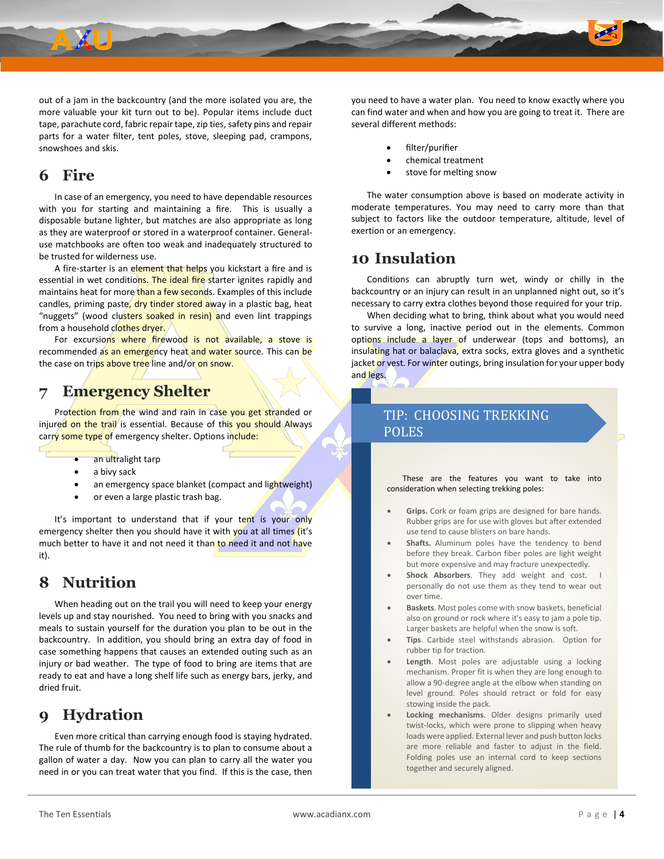

out of a jam in the backcountry (and the more isolated you are, the more valuable your kit turn out to be). Popular items include duct tape, parachute cord, fabric repair tape, zip ties, safety pins and repair parts for a water filter, tent poles, stove, sleeping pad, crampons, snowshoes and skis.

## **6 Fire**

In case of an emergency, you need to have dependable resources with you for starting and maintaining a fire. This is usually a disposable butane lighter, but matches are also appropriate as long as they are waterproof or stored in a waterproof container. Generaluse matchbooks are often too weak and inadequately structured to be trusted for wilderness use.

A fire-starter is an element that helps you kickstart a fire and is essential in wet conditions. The ideal fire starter ignites rapidly and maintains heat for more than a few seconds. Examples of this include candles, priming paste, dry tinder stored away in a plastic bag, heat "nuggets" (wood clusters soaked in resin) and even lint trappings from a household clothes dryer.

For excursions where firewood is not available, a stove is recommended as an emergency heat and water source. This can be the case on trips above tree line and/or on snow.

## **7 Emergency Shelter**

Protection from the wind and rain in case you get stranded or injured on the trail is essential. Because of this you should Always carry some type of emergency shelter. Options include:

- an ultralight tarp
- a bivy sack
- an emergency space blanket (compact and lightweight)
- or even a large plastic trash bag.

It's important to understand that if your tent is your only emergency shelter then you should have it with you at all times (it's much better to have it and not need it than to need it and not have it).

## **8 Nutrition**

When heading out on the trail you will need to keep your energy levels up and stay nourished. You need to bring with you snacks and meals to sustain yourself for the duration you plan to be out in the backcountry. In addition, you should bring an extra day of food in case something happens that causes an extended outing such as an injury or bad weather. The type of food to bring are items that are ready to eat and have a long shelf life such as energy bars, jerky, and dried fruit.

## **9 Hydration**

Even more critical than carrying enough food is staying hydrated. The rule of thumb for the backcountry is to plan to consume about a gallon of water a day. Now you can plan to carry all the water you need in or you can treat water that you find. If this is the case, then

you need to have a water plan. You need to know exactly where you can find water and when and how you are going to treat it. There are several different methods:

- filter/purifier
- chemical treatment
- stove for melting snow

The water consumption above is based on moderate activity in moderate temperatures. You may need to carry more than that subject to factors like the outdoor temperature, altitude, level of exertion or an emergency.

## **10 Insulation**

Conditions can abruptly turn wet, windy or chilly in the backcountry or an injury can result in an unplanned night out, so it's necessary to carry extra clothes beyond those required for your trip.

When deciding what to bring, think about what you would need to survive a long, inactive period out in the elements. Common options include a layer of underwear (tops and bottoms), an insulating hat or balaclava, extra socks, extra gloves and a synthetic jacket or vest. For winter outings, bring insulation for your upper body and legs.

### TIP: CHOOSING TREKKING POLES

These are the features you want to take into consideration when selecting trekking poles:

- **Grips.** Cork or foam grips are designed for bare hands. Rubber grips are for use with gloves but after extended use tend to cause blisters on bare hands.
- Shafts. Aluminum poles have the tendency to bend before they break. Carbon fiber poles are light weight but more expensive and may fracture unexpectedly.
- **Shock Absorbers**. They add weight and cost. personally do not use them as they tend to wear out over time.
- **Baskets**. Most poles come with snow baskets, beneficial also on ground or rock where it's easy to jam a pole tip. Larger baskets are helpful when the snow is soft.
- **Tips**. Carbide steel withstands abrasion. Option for rubber tip for traction.
- **Length**. Most poles are adjustable using a locking mechanism. Proper fit is when they are long enough to allow a 90-degree angle at the elbow when standing on level ground. Poles should retract or fold for easy stowing inside the pack.
- **Locking mechanisms**. Older designs primarily used twist-locks, which were prone to slipping when heavy loads were applied. External lever and push button locks are more reliable and faster to adjust in the field. Folding poles use an internal cord to keep sections together and securely aligned.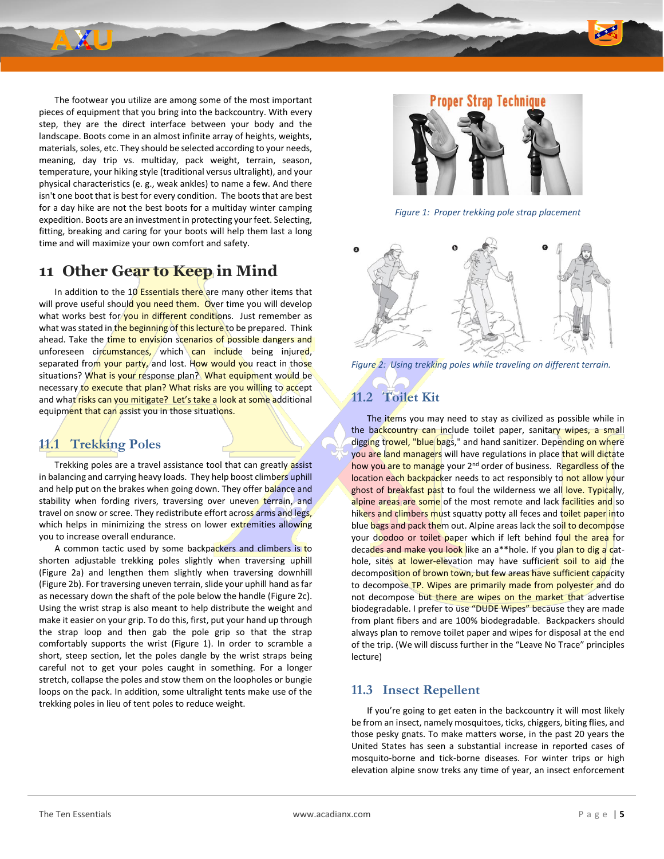

The footwear you utilize are among some of the most important pieces of equipment that you bring into the backcountry. With every step, they are the direct interface between your body and the landscape. Boots come in an almost infinite array of heights, weights, materials, soles, etc. They should be selected according to your needs, meaning, day trip vs. multiday, pack weight, terrain, season, temperature, your hiking style (traditional versus ultralight), and your physical characteristics (e. g., weak ankles) to name a few. And there isn't one boot that is best for every condition. The boots that are best for a day hike are not the best boots for a multiday winter camping expedition. Boots are an investment in protecting your feet. Selecting, fitting, breaking and caring for your boots will help them last a long time and will maximize your own comfort and safety.

### **11 Other Gear to Keep in Mind**

In addition to the  $10$  Essentials there are many other items that will prove useful should you need them. Over time you will develop what works best for you in different conditions. Just remember as what was stated in the beginning of this lecture to be prepared. Think ahead. Take the time to envision scenarios of possible dangers and unforeseen circumstances, which can include being injured, separated from your party, and lost. How would you react in those situations? What is your response plan? What equipment would be necessary to execute that plan? What risks are you willing to accept and what risks can you mitigate? Let's take a look at some additional equipment that can assist you in those situations.

### **11.1 Trekking Poles**

Trekking poles are a travel assistance tool that can greatly assist in balancing and carrying heavy loads. They help boost climbers uphill and help put on the brakes when going down. They offer balance and stability when fording rivers, traversing over uneven terrain, and travel on snow or scree. They redistribute effort across arms and legs, which helps in minimizing the stress on lower extremities allowing you to increase overall endurance.

A common tactic used by some backpackers and climbers is to shorten adjustable trekking poles slightly when traversing uphill [\(Figure 2a](#page-4-0)) and lengthen them slightly when traversing downhill [\(Figure 2b](#page-4-0)). For traversing uneven terrain, slide your uphill hand as far as necessary down the shaft of the pole below the handle [\(Figure 2c](#page-4-0)). Using the wrist strap is also meant to help distribute the weight and make it easier on your grip. To do this, first, put your hand up through the strap loop and then gab the pole grip so that the strap comfortably supports the wrist [\(Figure 1\)](#page-4-1). In order to scramble a short, steep section, let the poles dangle by the wrist straps being careful not to get your poles caught in something. For a longer stretch, collapse the poles and stow them on the loopholes or bungie loops on the pack. In addition, some ultralight tents make use of the trekking poles in lieu of tent poles to reduce weight.



*Figure 1: Proper trekking pole strap placement*

<span id="page-4-1"></span>

<span id="page-4-0"></span>*Figure 2: Using trekking poles while traveling on different terrain.*

### **11.2 Toilet Kit**

The *items* you may need to stay as civilized as possible while in the backcountry can include toilet paper, sanitary wipes, a small digging trowel, "blue bags," and hand sanitizer. Depending on where you are land managers will have regulations in place that will dictate how you are to manage your 2<sup>nd</sup> order of business. Regardless of the location each backpacker needs to act responsibly to not allow your ghost of breakfast past to foul the wilderness we all love. Typically, alpine areas are some of the most remote and lack facilities and so hikers and climbers must squatty potty all feces and toilet paper into blue bags and pack them out. Alpine areas lack the soll to decompose your doodoo or toilet paper which if left behind foul the area for decades and make you look like an a\*\*hole. If you plan to dig a cathole, sites at lower-elevation may have sufficient soil to aid the decomposition of brown town, but few areas have sufficient capacity to decompose TP. Wipes are primarily made from polyester and do not decompose but there are wipes on the market that advertise biodegradable. I prefer to use "DUDE Wipes" because they are made from plant fibers and are 100% biodegradable. Backpackers should always plan to remove toilet paper and wipes for disposal at the end of the trip. (We will discuss further in the "Leave No Trace" principles lecture)

### **11.3 Insect Repellent**

If you're going to get eaten in the backcountry it will most likely be from an insect, namely mosquitoes, ticks, chiggers, biting flies, and those pesky gnats. To make matters worse, in the past 20 years the United States has seen a substantial increase in reported cases of mosquito-borne and tick-borne diseases. For winter trips or high elevation alpine snow treks any time of year, an insect enforcement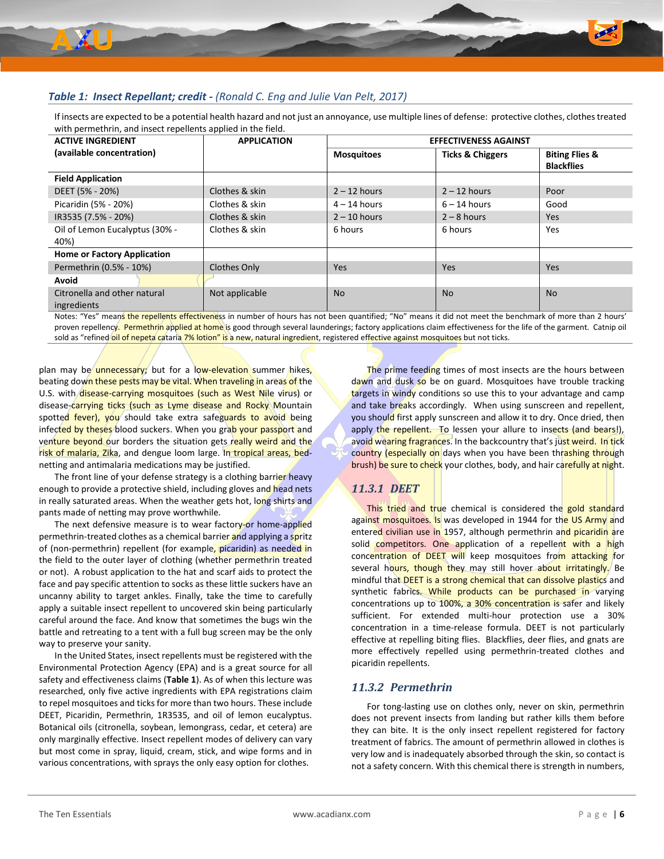

#### <span id="page-5-0"></span>*Table 1: Insect Repellant; credit - (Ronald C. Eng and Julie Van Pelt, 2017)*

If insects are expected to be a potential health hazard and not just an annoyance, use multiple lines of defense: protective clothes, clothes treated with permethrin, and insect repellents applied in the field.

| <b>ACTIVE INGREDIENT</b>           | <b>APPLICATION</b> | <b>EFFECTIVENESS AGAINST</b> |                             |                           |  |
|------------------------------------|--------------------|------------------------------|-----------------------------|---------------------------|--|
| (available concentration)          |                    | <b>Mosquitoes</b>            | <b>Ticks &amp; Chiggers</b> | <b>Biting Flies &amp;</b> |  |
|                                    |                    |                              |                             | <b>Blackflies</b>         |  |
| <b>Field Application</b>           |                    |                              |                             |                           |  |
| DEET (5% - 20%)                    | Clothes & skin     | $2 - 12$ hours               | $2 - 12$ hours              | Poor                      |  |
| Picaridin (5% - 20%)               | Clothes & skin     | $4 - 14$ hours               | $6 - 14$ hours              | Good                      |  |
| IR3535 (7.5% - 20%)                | Clothes & skin     | $2 - 10$ hours               | $2 - 8$ hours               | Yes                       |  |
| Oil of Lemon Eucalyptus (30% -     | Clothes & skin     | 6 hours                      | 6 hours                     | Yes                       |  |
| 40%)                               |                    |                              |                             |                           |  |
| <b>Home or Factory Application</b> |                    |                              |                             |                           |  |
| Permethrin (0.5% - 10%)            | Clothes Only       | <b>Yes</b>                   | <b>Yes</b>                  | <b>Yes</b>                |  |
| Avoid                              |                    |                              |                             |                           |  |
| Citronella and other natural       | Not applicable     | No.                          | <b>No</b>                   | <b>No</b>                 |  |
| ingredients                        |                    |                              |                             |                           |  |

Notes: "Yes" means the repellents effectiveness in number of hours has not been quantified; "No" means it did not meet the benchmark of more than 2 hours' proven repellency. Permethrin applied at home is good through several launderings; factory applications claim effectiveness for the life of the garment. Catnip oil sold as "refined oil of nepeta cataria 7% lotion" is a new, natural ingredient, registered effective against mosquitoes but not ticks.

plan may be unnecessary; but for a low-elevation summer hikes, beating down these pests may be vital. When traveling in areas of the U.S. with disease-carrying mosquitoes (such as West Nile virus) or disease-carrying ticks (such as Lyme disease and Rocky Mountain spotted fever), you should take extra safeguards to avoid being infected by theses blood suckers. When you grab your passport and venture beyond our borders the situation gets really weird and the risk of malaria, Zika, and dengue loom large. In tropical areas, bednetting and antimalaria medications may be justified.

The front line of your defense strategy is a clothing barrier heavy enough to provide a protective shield, including gloves and head nets in really saturated areas. When the weather gets hot, long shirts and pants made of netting may prove worthwhile.

The next defensive measure is to wear factory-or home-applied permethrin-treated clothes as a chemical barrier and applying a spritz of (non-permethrin) repellent (for example, picaridin) as needed in the field to the outer layer of clothing (whether permethrin treated or not). A robust application to the hat and scarf aids to protect the face and pay specific attention to socks as these little suckers have an uncanny ability to target ankles. Finally, take the time to carefully apply a suitable insect repellent to uncovered skin being particularly careful around the face. And know that sometimes the bugs win the battle and retreating to a tent with a full bug screen may be the only way to preserve your sanity.

In the United States, insect repellents must be registered with the Environmental Protection Agency (EPA) and is a great source for all safety and effectiveness claims (**[Table 1](#page-5-0)**). As of when this lecture was researched, only five active ingredients with EPA registrations claim to repel mosquitoes and ticks for more than two hours. These include DEET, Picaridin, Permethrin, 1R3535, and oil of lemon eucalyptus. Botanical oils (citronella, soybean, lemongrass, cedar, et cetera) are only marginally effective. Insect repellent modes of delivery can vary but most come in spray, liquid, cream, stick, and wipe forms and in various concentrations, with sprays the only easy option for clothes.

The prime feeding times of most insects are the hours between dawn and dusk so be on guard. Mosquitoes have trouble tracking targets in windy conditions so use this to your advantage and camp and take breaks accordingly. When using sunscreen and repellent, you should first apply sunscreen and allow it to dry. Once dried, then apply the repellent. To lessen your allure to insects (and bears!), avoid wearing fragrances. In the backcountry that's just weird. In tick country (especially on days when you have been thrashing through brush) be sure to check your clothes, body, and hair carefully at night.

### *11.3.1 DEET*

This tried and true chemical is considered the gold standard against mosquitoes. Is was developed in 1944 for the US Army and entered civilian use in 1957, although permethrin and picaridin are solid competitors. One application of a repellent with a high concentration of DEET will keep mosquitoes from attacking for several hours, though they may still hover about irritatingly. Be mindful that DEET is a strong chemical that can dissolve plastics and synthetic fabrics. While products can be purchased in varying concentrations up to 100%, a 30% concentration is safer and likely sufficient. For extended multi-hour protection use a 30% concentration in a time-release formula. DEET is not particularly effective at repelling biting flies. Blackflies, deer flies, and gnats are more effectively repelled using permethrin-treated clothes and picaridin repellents.

#### *11.3.2 Permethrin*

For tong-lasting use on clothes only, never on skin, permethrin does not prevent insects from landing but rather kills them before they can bite. It is the only insect repellent registered for factory treatment of fabrics. The amount of permethrin allowed in clothes is very low and is inadequately absorbed through the skin, so contact is not a safety concern. With this chemical there is strength in numbers,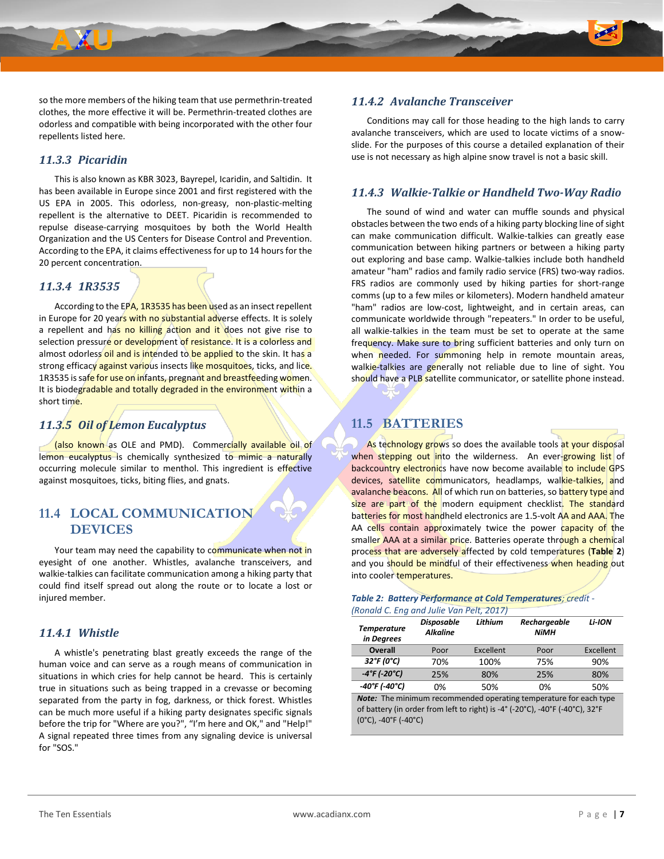

so the more members of the hiking team that use permethrin-treated clothes, the more effective it will be. Permethrin-treated clothes are odorless and compatible with being incorporated with the other four repellents listed here.

#### *11.3.3 Picaridin*

This is also known as KBR 3023, Bayrepel, Icaridin, and Saltidin. It has been available in Europe since 2001 and first registered with the US EPA in 2005. This odorless, non-greasy, non-plastic-melting repellent is the alternative to DEET. Picaridin is recommended to repulse disease-carrying mosquitoes by both the World Health Organization and the US Centers for Disease Control and Prevention. According to the EPA, it claims effectiveness for up to 14 hours for the 20 percent concentration.

#### *11.3.4 1R3535*

According to the EPA, 1R3535 has been used as an insect repellent in Europe for 20 years with no substantial adverse effects. It is solely a repellent and has no killing action and it does not give rise to selection pressure or development of resistance. It is a colorless and almost odorless oil and is intended to be applied to the skin. It has a strong efficacy against various insects like mosquitoes, ticks, and lice. 1R3535 is safe for use on infants, pregnant and breastfeeding women. It is biodegradable and totally degraded in the environment within a short time.

#### *11.3.5 Oil of Lemon Eucalyptus*

(also known as OLE and PMD). Commercially available oil of lemon eucalyptus is chemically synthesized to mimic a naturally occurring molecule similar to menthol. This ingredient is effective against mosquitoes, ticks, biting flies, and gnats.

### **11.4 LOCAL COMMUNICATION DEVICES**

Your team may need the capability to communicate when not in eyesight of one another. Whistles, avalanche transceivers, and walkie-talkies can facilitate communication among a hiking party that could find itself spread out along the route or to locate a lost or injured member.

#### *11.4.1 Whistle*

A whistle's penetrating blast greatly exceeds the range of the human voice and can serve as a rough means of communication in situations in which cries for help cannot be heard. This is certainly true in situations such as being trapped in a crevasse or becoming separated from the party in fog, darkness, or thick forest. Whistles can be much more useful if a hiking party designates specific signals before the trip for "Where are you?", "I'm here and OK," and "Help!" A signal repeated three times from any signaling device is universal for "SOS."

#### *11.4.2 Avalanche Transceiver*

Conditions may call for those heading to the high lands to carry avalanche transceivers, which are used to locate victims of a snowslide. For the purposes of this course a detailed explanation of their use is not necessary as high alpine snow travel is not a basic skill.

#### *11.4.3 Walkie-Talkie or Handheld Two-Way Radio*

The sound of wind and water can muffle sounds and physical obstacles between the two ends of a hiking party blocking line of sight can make communication difficult. Walkie-talkies can greatly ease communication between hiking partners or between a hiking party out exploring and base camp. Walkie-talkies include both handheld amateur "ham" radios and family radio service (FRS) two-way radios. FRS radios are commonly used by hiking parties for short-range comms (up to a few miles or kilometers). Modern handheld amateur "ham" radios are low-cost, lightweight, and in certain areas, can communicate worldwide through "repeaters." In order to be useful, all walkie-talkies in the team must be set to operate at the same frequency. Make sure to bring sufficient batteries and only turn on when needed. For summoning help in remote mountain areas, walkie-talkies are generally not reliable due to line of sight. You should have a PLB satellite communicator, or satellite phone instead.

### **11.5 BATTERIES**

As technology grows so does the available tools at your disposal when stepping out into the wilderness. An ever-growing list of backcountry electronics have now become available to include GPS devices, satellite communicators, headlamps, walkie-talkies, and avalanche beacons. All of which run on batteries, so battery type and size are part of the modern equipment checklist. The standard batteries for most handheld electronics are 1.5-volt AA and AAA. The AA cells contain approximately twice the power capacity of the smaller AAA at a similar price. Batteries operate through a chemical process that are adversely affected by cold temperatures (**[Table 2](#page-6-0)**) and you should be mindful of their effectiveness when heading out into cooler temperatures.

<span id="page-6-0"></span>

| Table 2: Battery Performance at Cold Temperatures; credit - |
|-------------------------------------------------------------|
| (Ronald C. Eng and Julie Van Pelt, 2017)                    |

| <b>Temperature</b><br>in Degrees   | <b>Disposable</b><br><b>Alkaline</b> | Lithium   | Rechargeable<br>NiMH | Li-ION    |
|------------------------------------|--------------------------------------|-----------|----------------------|-----------|
| Overall                            | Poor                                 | Excellent | Poor                 | Excellent |
| 32°F (0°C)                         | 70%                                  | 100%      | 75%                  | 90%       |
| $-4^{\circ}$ F (-20 $^{\circ}$ C)  | 25%                                  | 80%       | 25%                  | 80%       |
| $-40^{\circ}$ F (-40 $^{\circ}$ C) | 0%                                   | 50%       | 0%                   | 50%       |

**Note:** The minimum recommended operating temperature for each type of battery (in order from left to right) is -4° (-20°C), -40°F (-40°C), 32°F (0°C), -40°F (-40°C)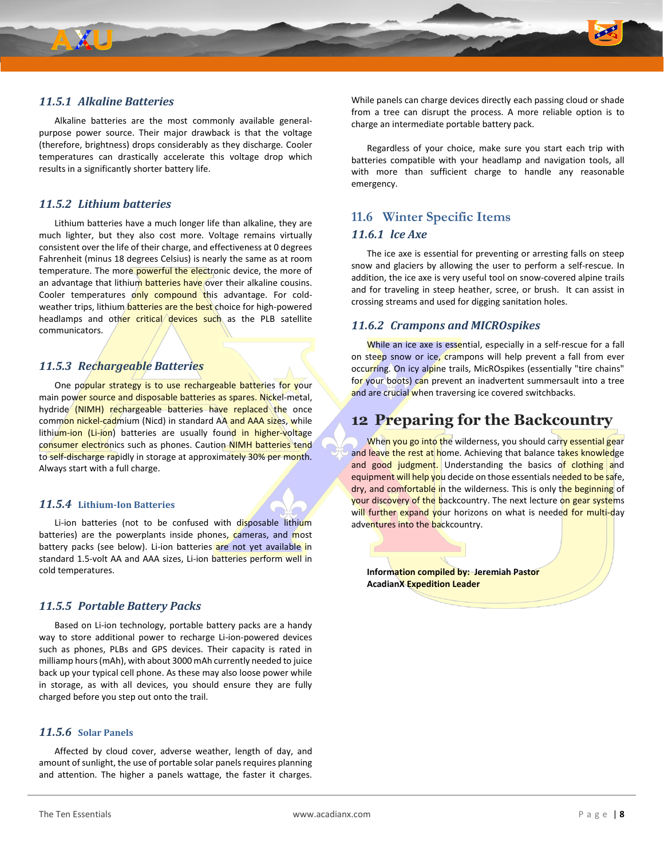

Alkaline batteries are the most commonly available generalpurpose power source. Their major drawback is that the voltage (therefore, brightness) drops considerably as they discharge. Cooler temperatures can drastically accelerate this voltage drop which results in a significantly shorter battery life.

#### *11.5.2 Lithium batteries*

Lithium batteries have a much longer life than alkaline, they are much lighter, but they also cost more. Voltage remains virtually consistent over the life of their charge, and effectiveness at 0 degrees Fahrenheit (minus 18 degrees Celsius) is nearly the same as at room temperature. The more powerful the electronic device, the more of an advantage that lithium batteries have over their alkaline cousins. Cooler temperatures only compound this advantage. For coldweather trips, lithium **batteries are the best** choice for high-powered headlamps and other critical devices such as the PLB satellite communicators.

#### *11.5.3 Rechargeable Batteries*

One popular strategy is to use rechargeable batteries for your main power source and disposable batteries as spares. Nickel-metal, hydride (NIMH) rechargeable batteries have replaced the once common nickel-cadmium (Nicd) in standard AA and AAA sizes, while lithium-ion (Li-jon) batteries are usually found in higher-voltage consumer electronics such as phones. Caution NIMH batteries tend to self-discharge rapidly in storage at approximately 30% per month. Always start with a full charge.

#### *11.5.4* **Lithium-Ion Batteries**

Li-ion batteries (not to be confused with disposable lithium batteries) are the powerplants inside phones, cameras, and most battery packs (see below). Li-ion batteries are not yet available in standard 1.5-volt AA and AAA sizes, Li-ion batteries perform well in cold temperatures.

#### *11.5.5 Portable Battery Packs*

Based on Li-ion technology, portable battery packs are a handy way to store additional power to recharge Li-ion-powered devices such as phones, PLBs and GPS devices. Their capacity is rated in milliamp hours (mAh), with about 3000 mAh currently needed to juice back up your typical cell phone. As these may also loose power while in storage, as with all devices, you should ensure they are fully charged before you step out onto the trail.

#### *11.5.6* **Solar Panels**

Affected by cloud cover, adverse weather, length of day, and amount of sunlight, the use of portable solar panels requires planning and attention. The higher a panels wattage, the faster it charges. While panels can charge devices directly each passing cloud or shade from a tree can disrupt the process. A more reliable option is to charge an intermediate portable battery pack.

Regardless of your choice, make sure you start each trip with batteries compatible with your headlamp and navigation tools, all with more than sufficient charge to handle any reasonable emergency.

### **11.6 Winter Specific Items** *11.6.1 lce Axe*

The ice axe is essential for preventing or arresting falls on steep snow and glaciers by allowing the user to perform a self-rescue. In addition, the ice axe is very useful tool on snow-covered alpine trails and for traveling in steep heather, scree, or brush. It can assist in crossing streams and used for digging sanitation holes.

#### *11.6.2 Crampons and MICROspikes*

While an ice axe is essential, especially in a self-rescue for a fall on steep snow or ice, crampons will help prevent a fall from ever occurring. On icy alpine trails, MicROspikes (essentially "tire chains" for your boots) can prevent an inadvertent summersault into a tree and are crucial when traversing ice covered switchbacks.

## **12 Preparing for the Backcountry**

When you go into the wilderness, you should carry essential gear and leave the rest at home. Achieving that balance takes knowledge and good judgment. Understanding the basics of clothing and equipment will help you decide on those essentials needed to be safe, dry, and comfortable in the wilderness. This is only the beginning of your discovery of the backcountry. The next lecture on gear systems will further expand your horizons on what is needed for multi-day adventures into the backcountry.

**Information compiled by: Jeremiah Pastor AcadianX Expedition Leader**